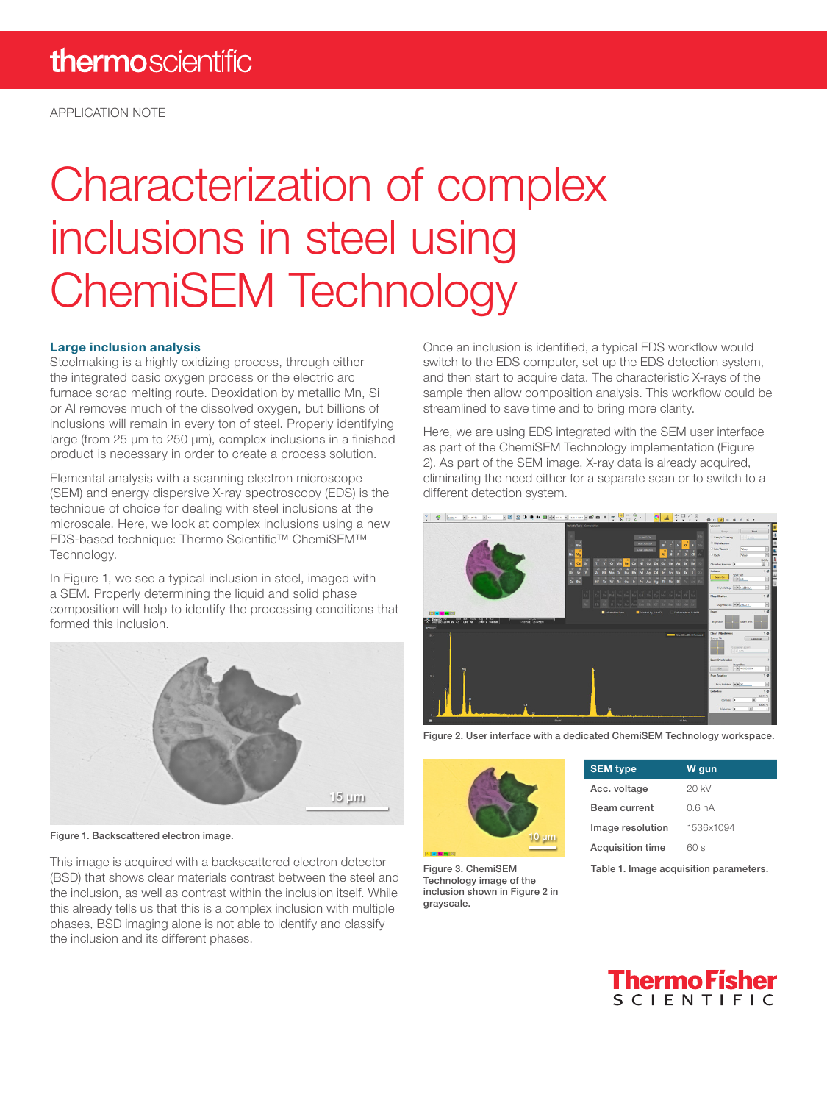APPLICATION NOTE

# Characterization of complex inclusions in steel using ChemiSEM Technology

#### Large inclusion analysis

Steelmaking is a highly oxidizing process, through either the integrated basic oxygen process or the electric arc furnace scrap melting route. Deoxidation by metallic Mn, Si or Al removes much of the dissolved oxygen, but billions of inclusions will remain in every ton of steel. Properly identifying large (from 25 µm to 250 µm), complex inclusions in a finished product is necessary in order to create a process solution.

Elemental analysis with a scanning electron microscope (SEM) and energy dispersive X-ray spectroscopy (EDS) is the technique of choice for dealing with steel inclusions at the microscale. Here, we look at complex inclusions using a new EDS-based technique: Thermo Scientific™ ChemiSEM™ Technology.

In Figure 1, we see a typical inclusion in steel, imaged with a SEM. Properly determining the liquid and solid phase composition will help to identify the processing conditions that formed this inclusion.



Figure 1. Backscattered electron image.

This image is acquired with a backscattered electron detector (BSD) that shows clear materials contrast between the steel and the inclusion, as well as contrast within the inclusion itself. While this already tells us that this is a complex inclusion with multiple phases, BSD imaging alone is not able to identify and classify the inclusion and its different phases.

Once an inclusion is identified, a typical EDS workflow would switch to the EDS computer, set up the EDS detection system, and then start to acquire data. The characteristic X-rays of the sample then allow composition analysis. This workflow could be streamlined to save time and to bring more clarity.

Here, we are using EDS integrated with the SEM user interface as part of the ChemiSEM Technology implementation (Figure 2). As part of the SEM image, X-ray data is already acquired, eliminating the need either for a separate scan or to switch to a different detection system.



Figure 2. User interface with a dedicated ChemiSEM Technology workspace.



| <b>SEM type</b>         | W gun     |
|-------------------------|-----------|
| Acc. voltage            | 20 KV     |
| Beam current            | 06nA      |
| Image resolution        | 1536x1094 |
| <b>Acquisition time</b> | 60 s      |
|                         |           |

Figure 3. ChemiSEM Technology image of the inclusion shown in Figure 2 in grayscale.

Table 1. Image acquisition parameters.

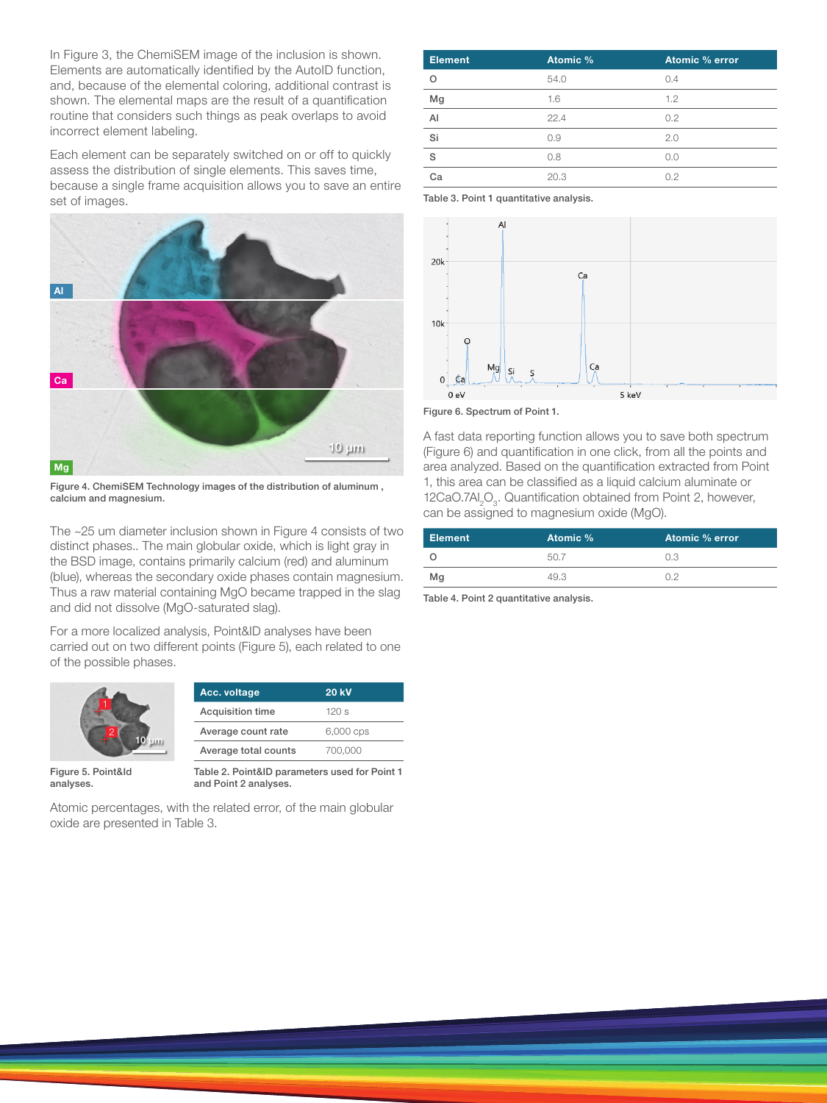In Figure 3, the ChemiSEM image of the inclusion is shown. Elements are automatically identified by the AutoID function, and, because of the elemental coloring, additional contrast is shown. The elemental maps are the result of a quantification routine that considers such things as peak overlaps to avoid incorrect element labeling.

Each element can be separately switched on or off to quickly assess the distribution of single elements. This saves time, because a single frame acquisition allows you to save an entire set of images.



Figure 4. ChemiSEM Technology images of the distribution of aluminum , calcium and magnesium.

The ~25 um diameter inclusion shown in Figure 4 consists of two distinct phases.. The main globular oxide, which is light gray in the BSD image, contains primarily calcium (red) and aluminum (blue), whereas the secondary oxide phases contain magnesium. Thus a raw material containing MgO became trapped in the slag and did not dissolve (MgO-saturated slag).

For a more localized analysis, Point&ID analyses have been carried out on two different points (Figure 5), each related to one of the possible phases.



| Acc. voltage            | <b>20 kV</b> |
|-------------------------|--------------|
| <b>Acquisition time</b> | 120 s        |
| Average count rate      | 6,000 cps    |
| Average total counts    | 700.000      |

Figure 5. Point&Id analyses.

Table 2. Point&ID parameters used for Point 1 and Point 2 analyses.

Atomic percentages, with the related error, of the main globular oxide are presented in Table 3.

| <b>Element</b> | Atomic % | <b>Atomic % error</b> |
|----------------|----------|-----------------------|
| O              | 54.0     | 0.4                   |
| Mg             | 1.6      | 1.2                   |
| $\mathsf{A}$   | 22.4     | 0.2                   |
| Si             | 0.9      | 2.0                   |
| S              | 0.8      | 0.0                   |
| Са             | 20.3     | 0.2                   |

Table 3. Point 1 quantitative analysis.



Figure 6. Spectrum of Point 1.

A fast data reporting function allows you to save both spectrum (Figure 6) and quantification in one click, from all the points and area analyzed. Based on the quantification extracted from Point 1, this area can be classified as a liquid calcium aluminate or 12CaO.7AI<sub>2</sub>O<sub>3</sub>. Quantification obtained from Point 2, however, can be assigned to magnesium oxide (MgO).

| <b>Element</b> | Atomic % | Atomic % error |
|----------------|----------|----------------|
|                |          | O 3            |
| Mg             | -⊥9 (≺ - |                |

Table 4. Point 2 quantitative analysis.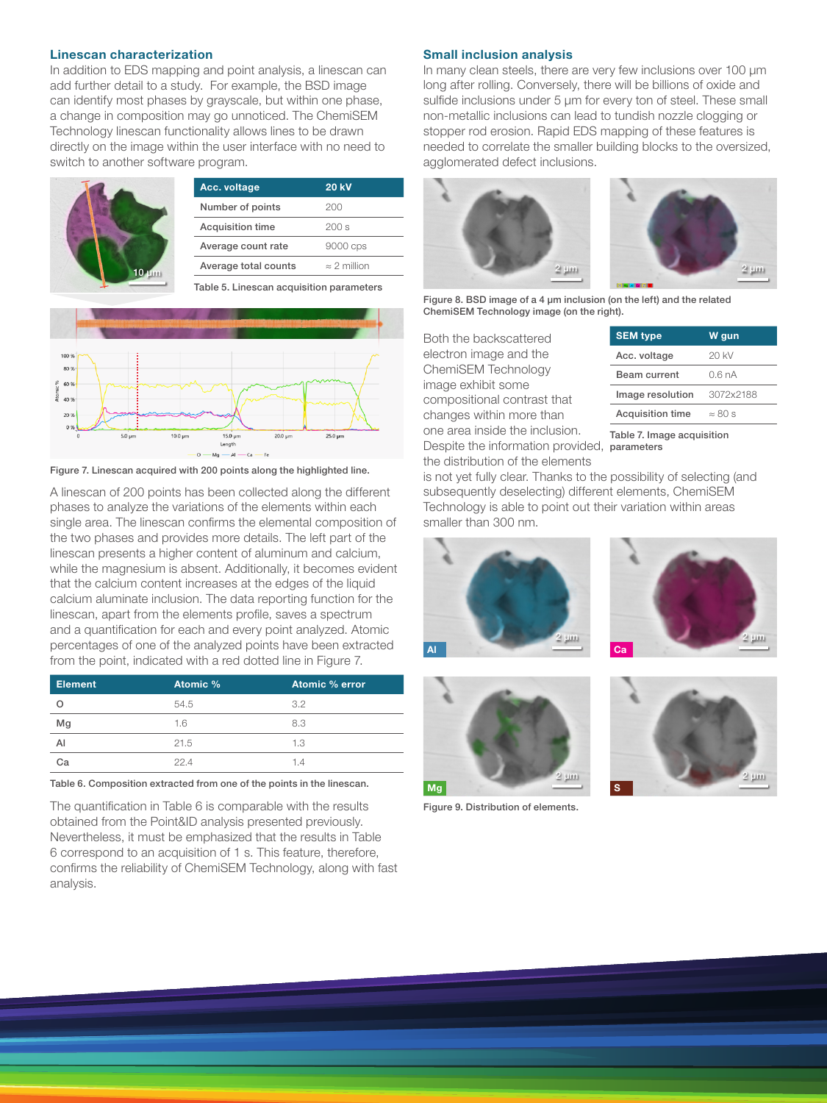#### Linescan characterization

In addition to EDS mapping and point analysis, a linescan can add further detail to a study. For example, the BSD image can identify most phases by grayscale, but within one phase, a change in composition may go unnoticed. The ChemiSEM Technology linescan functionality allows lines to be drawn directly on the image within the user interface with no need to switch to another software program.

|            | Acc. voltage         | <b>20 kV</b>        |                |
|------------|----------------------|---------------------|----------------|
|            | Number of points     | 200                 |                |
|            | Acquisition time     | 200 s               |                |
|            | Average count rate   | 9000 cps            |                |
| $10 \mu m$ | Average total counts | $\approx$ 2 million | $2 \text{ um}$ |

Table 5. Linescan acquisition parameters



Figure 7. Linescan acquired with 200 points along the highlighted line.

A linescan of 200 points has been collected along the different phases to analyze the variations of the elements within each single area. The linescan confirms the elemental composition of the two phases and provides more details. The left part of the linescan presents a higher content of aluminum and calcium, while the magnesium is absent. Additionally, it becomes evident that the calcium content increases at the edges of the liquid calcium aluminate inclusion. The data reporting function for the linescan, apart from the elements profile, saves a spectrum and a quantification for each and every point analyzed. Atomic percentages of one of the analyzed points have been extracted from the point, indicated with a red dotted line in Figure 7.

| <b>Element</b> | Atomic % | Atomic % error |
|----------------|----------|----------------|
|                | 54.5     | 3.2            |
| Mg             | 1.6      | 8.3            |
| Al             | 21.5     | 1.3            |
| Cа             | 224      | 14             |

Table 6. Composition extracted from one of the points in the linescan.

The quantification in Table 6 is comparable with the results obtained from the Point&ID analysis presented previously. Nevertheless, it must be emphasized that the results in Table 6 correspond to an acquisition of 1 s. This feature, therefore, confirms the reliability of ChemiSEM Technology, along with fast analysis.

#### Small inclusion analysis

In many clean steels, there are very few inclusions over 100 μm long after rolling. Conversely, there will be billions of oxide and sulfide inclusions under 5 μm for every ton of steel. These small non-metallic inclusions can lead to tundish nozzle clogging or stopper rod erosion. Rapid EDS mapping of these features is needed to correlate the smaller building blocks to the oversized, agglomerated defect inclusions.





Figure 8. BSD image of a 4 µm inclusion (on the left) and the related ChemiSEM Technology image (on the right).

Both the backscattered electron image and the ChemiSEM Technology image exhibit some compositional contrast that changes within more than one area inside the inclusion. Despite the information provided, parameters the distribution of the elements

| <b>SEM type</b>         | W gun          |
|-------------------------|----------------|
| Acc. voltage            | 20 KV          |
| Beam current            | 06 nA          |
| Image resolution        | 3072x2188      |
| <b>Acquisition time</b> | $\approx 80 s$ |

Table 7. Image acquisition

is not yet fully clear. Thanks to the possibility of selecting (and subsequently deselecting) different elements, ChemiSEM Technology is able to point out their variation within areas smaller than 300 nm.







Figure 9. Distribution of elements.